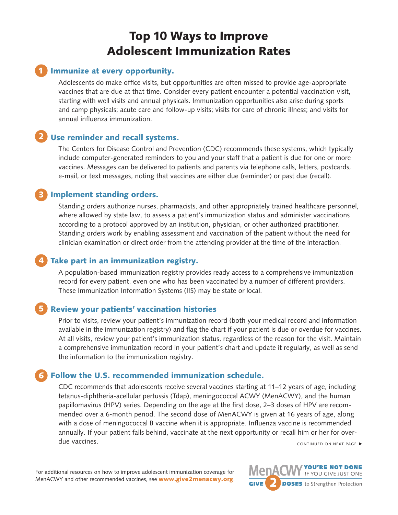# Top 10 Ways to Improve Adolescent Immunization Rates

#### 1 Immunize at every opportunity.

Adolescents do make office visits, but opportunities are often missed to provide age-appropriate vaccines that are due at that time. Consider every patient encounter a potential vaccination visit, starting with well visits and annual physicals. Immunization opportunities also arise during sports and camp physicals; acute care and follow-up visits; visits for care of chronic illness; and visits for annual influenza immunization.

#### 2 Use reminder and recall systems.

The Centers for Disease Control and Prevention (CDC) recommends these systems, which typically include computer-generated reminders to you and your staff that a patient is due for one or more vaccines. Messages can be delivered to patients and parents via telephone calls, letters, postcards, e-mail, or text messages, noting that vaccines are either due (reminder) or past due (recall).

#### 3 Implement standing orders.

Standing orders authorize nurses, pharmacists, and other appropriately trained healthcare personnel, where allowed by state law, to assess a patient's immunization status and administer vaccinations according to a protocol approved by an institution, physician, or other authorized practitioner. Standing orders work by enabling assessment and vaccination of the patient without the need for clinician examination or direct order from the attending provider at the time of the interaction.

## 4 Take part in an immunization registry.

A population-based immunization registry provides ready access to a comprehensive immunization record for every patient, even one who has been vaccinated by a number of different providers. These Immunization Information Systems (IIS) may be state or local.

#### 5 Review your patients' vaccination histories

Prior to visits, review your patient's immunization record (both your medical record and information available in the immunization registry) and flag the chart if your patient is due or overdue for vaccines. At all visits, review your patient's immunization status, regardless of the reason for the visit. Maintain a comprehensive immunization record in your patient's chart and update it regularly, as well as send the information to the immunization registry.

#### 6 Follow the U.S. recommended immunization schedule.

CDC recommends that adolescents receive several vaccines starting at 11–12 years of age, including tetanus-diphtheria-acellular pertussis (Tdap), meningococcal ACWY (MenACWY), and the human papillomavirus (HPV) series. Depending on the age at the first dose, 2–3 doses of HPV are recommended over a 6-month period. The second dose of MenACWY is given at 16 years of age, along with a dose of meningococcal B vaccine when it is appropriate. Influenza vaccine is recommended annually. If your patient falls behind, vaccinate at the next opportunity or recall him or her for overdue vaccines. **National Security Continued On NEXT PAGE** ▶ **PROPERTY** CONTINUED ON NEXT PAGE ▶

For additional resources on how to improve adolescent immunization coverage for MenACWY and other recommended vaccines, see [www.give2menacwy.org](http://www.give2menacwy.org) **MenA** IF YOU GIVE JUST ONE **DOSES** to Strengthen Protection **GIVE**